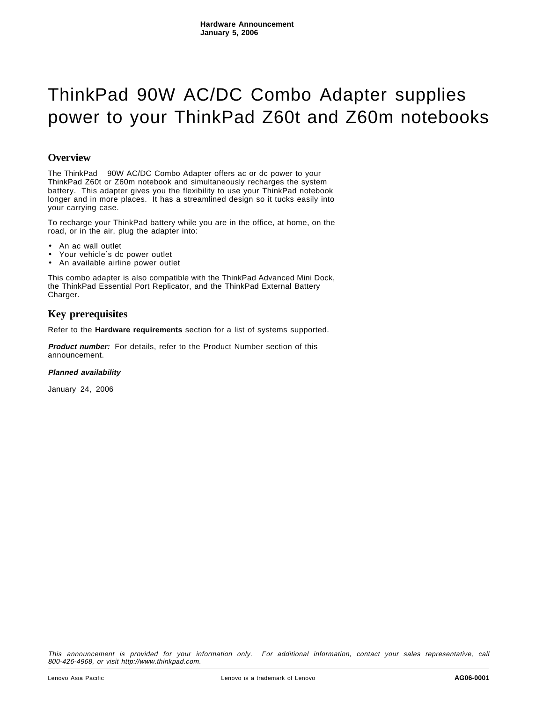# ThinkPad 90W AC/DC Combo Adapter supplies power to your ThinkPad Z60t and Z60m notebooks

## **Overview**

The ThinkPad® 90W AC/DC Combo Adapter offers ac or dc power to your ThinkPad Z60t or Z60m notebook and simultaneously recharges the system battery. This adapter gives you the flexibility to use your ThinkPad notebook longer and in more places. It has a streamlined design so it tucks easily into your carrying case.

To recharge your ThinkPad battery while you are in the office, at home, on the road, or in the air, plug the adapter into:

- An ac wall outlet
- Your vehicle's dc power outlet
- An available airline power outlet

This combo adapter is also compatible with the ThinkPad Advanced Mini Dock, the ThinkPad Essential Port Replicator, and the ThinkPad External Battery Charger.

## **Key prerequisites**

Refer to the **Hardware requirements** section for a list of systems supported.

**Product number:** For details, refer to the Product Number section of this announcement.

#### **Planned availability**

January 24, 2006

This announcement is provided for your information only. For additional information, contact your sales representative, call 800-426-4968, or visit http://www.thinkpad.com.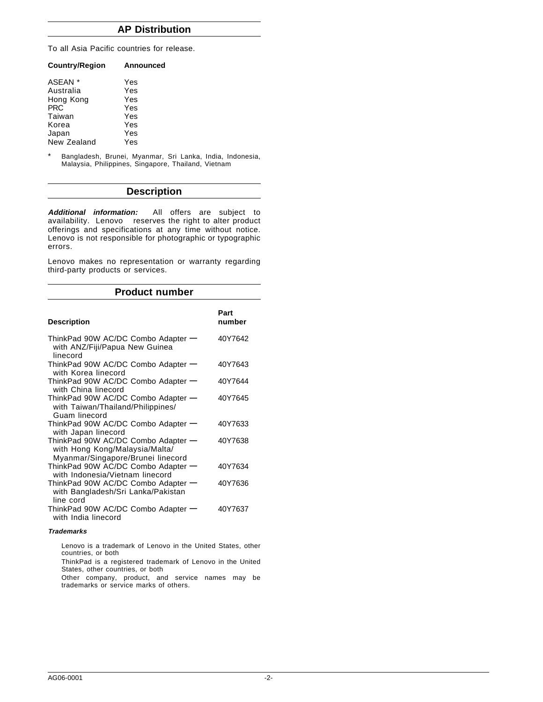## **AP Distribution**

To all Asia Pacific countries for release.

| <b>Country/Region</b> | Announced |
|-----------------------|-----------|
| ASEAN *               | Yes       |
| Australia             | Yes       |
| Hong Kong             | Yes       |
| <b>PRC</b>            | Yes       |
| Taiwan                | Yes       |
| Korea                 | Yes       |
| Japan                 | Yes       |
| New Zealand           | Yes       |

\* Bangladesh, Brunei, Myanmar, Sri Lanka, India, Indonesia, Malaysia, Philippines, Singapore, Thailand, Vietnam

## **Description**

**Additional information:** All offers are subject to availability. Lenovo<sup>™</sup> reserves the right to alter product offerings and specifications at any time without notice. Lenovo is not responsible for photographic or typographic errors.

Lenovo makes no representation or warranty regarding third-party products or services.

## **Product number**

| <b>Description</b>                                                                                        | Part<br>number |
|-----------------------------------------------------------------------------------------------------------|----------------|
| ThinkPad 90W AC/DC Combo Adapter -<br>with ANZ/Fiji/Papua New Guinea<br>linecord                          | 40Y7642        |
| ThinkPad 90W AC/DC Combo Adapter —<br>with Korea linecord                                                 | 40Y7643        |
| ThinkPad 90W AC/DC Combo Adapter -<br>with China linecord                                                 | 40Y7644        |
| ThinkPad 90W AC/DC Combo Adapter -<br>with Taiwan/Thailand/Philippines/<br>Guam linecord                  | 40Y7645        |
| ThinkPad 90W AC/DC Combo Adapter -<br>with Japan linecord                                                 | 40Y7633        |
| ThinkPad 90W AC/DC Combo Adapter -<br>with Hong Kong/Malaysia/Malta/<br>Myanmar/Singapore/Brunei linecord | 40Y7638        |
| ThinkPad 90W AC/DC Combo Adapter -<br>with Indonesia/Vietnam linecord                                     | 40Y7634        |
| ThinkPad 90W AC/DC Combo Adapter -<br>with Bangladesh/Sri Lanka/Pakistan<br>line cord                     | 40Y7636        |
| ThinkPad 90W AC/DC Combo Adapter -<br>with India linecord                                                 | 40Y7637        |

#### **Trademarks**

Lenovo is a trademark of Lenovo in the United States, other countries, or both

ThinkPad is a registered trademark of Lenovo in the United States, other countries, or both

Other company, product, and service names may be trademarks or service marks of others.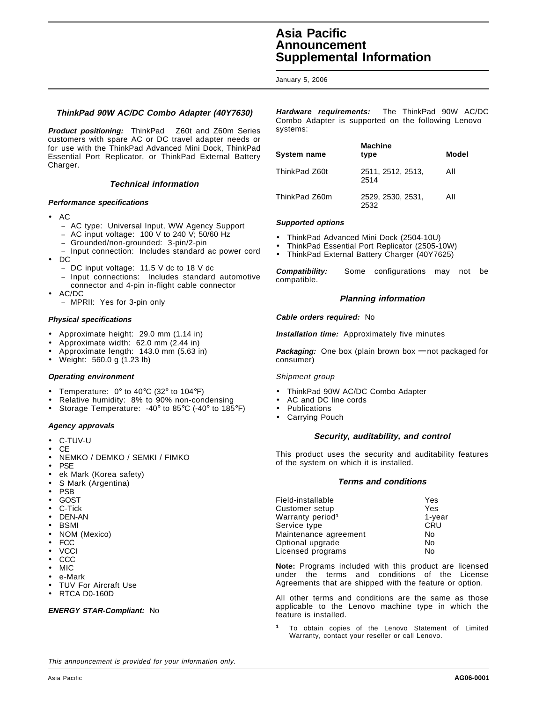## **Asia Pacific Announcement Supplemental Information**

January 5, 2006

### **ThinkPad 90W AC/DC Combo Adapter (40Y7630)**

**Product positioning:** ThinkPad<sup>®</sup> Z60t and Z60m Series customers with spare AC or DC travel adapter needs or for use with the ThinkPad Advanced Mini Dock, ThinkPad Essential Port Replicator, or ThinkPad External Battery Charger.

#### **Technical information**

#### **Performance specifications**

- AC
	- − AC type: Universal Input, WW Agency Support
	- − AC input voltage: 100 V to 240 V; 50/60 Hz
	- − Grounded/non-grounded: 3-pin/2-pin
	- − Input connection: Includes standard ac power cord
- DC
	- − DC input voltage: 11.5 V dc to 18 V dc
	- Input connections: Includes standard automotive connector and 4-pin in-flight cable connector
- AC/DC
	- − MPRII: Yes for 3-pin only

#### **Physical specifications**

- Approximate height: 29.0 mm (1.14 in)
- Approximate width: 62.0 mm (2.44 in)
- Approximate length: 143.0 mm (5.63 in)
- Weight: 560.0 g (1.23 lb)

#### **Operating environment**

- Temperature:  $0^\circ$  to 40 $^\circ$ C (32 $^\circ$  to 104 $^\circ$ F)
- Relative humidity: 8% to 90% non-condensing
- Storage Temperature: -40° to 85°C (-40° to 185°F)

#### **Agency approvals**

- C-TUV-U
- CE
- NEMKO / DEMKO / SEMKI / FIMKO
- **PSE**
- ek Mark (Korea safety)
- S Mark (Argentina)
- **PSB**
- **GOST**
- C-Tick
- DEN-AN
- BSMI
- NOM (Mexico)
- FCC
- **VCCI** • CCC
- MIC
- e-Mark
- TUV For Aircraft Use
- RTCA D0-160D

#### **ENERGY STAR-Compliant:** No

**Hardware requirements:** The ThinkPad 90W AC/DC Combo Adapter is supported on the following Lenovo<sup>™</sup> systems:

| System name   | <b>Machine</b><br>type    | Model |
|---------------|---------------------------|-------|
| ThinkPad Z60t | 2511, 2512, 2513,<br>2514 | All   |
| ThinkPad Z60m | 2529, 2530, 2531.         | All   |

#### **Supported options**

- ThinkPad Advanced Mini Dock (2504-10U)
- ThinkPad Essential Port Replicator (2505-10W)
- ThinkPad External Battery Charger (40Y7625)

**Compatibility:** Some configurations may not be compatible.

#### **Planning information**

#### **Cable orders required:** No

**Installation time:** Approximately five minutes

**Packaging:** One box (plain brown box **—** not packaged for consumer)

#### Shipment group

- ThinkPad 90W AC/DC Combo Adapter
- AC and DC line cords
- **Publications**
- Carrying Pouch

#### **Security, auditability, and control**

This product uses the security and auditability features of the system on which it is installed.

#### **Terms and conditions**

| Field-installable            | Yes        |
|------------------------------|------------|
| Customer setup               | Yes        |
| Warranty period <sup>1</sup> | $1$ -year  |
| Service type                 | <b>CRU</b> |
| Maintenance agreement        | No         |
| Optional upgrade             | No         |
| Licensed programs            | No         |

**Note:** Programs included with this product are licensed under the terms and conditions of the License Agreements that are shipped with the feature or option.

All other terms and conditions are the same as those applicable to the Lenovo machine type in which the feature is installed.

**<sup>1</sup>** To obtain copies of the Lenovo Statement of Limited Warranty, contact your reseller or call Lenovo.

This announcement is provided for your information only.